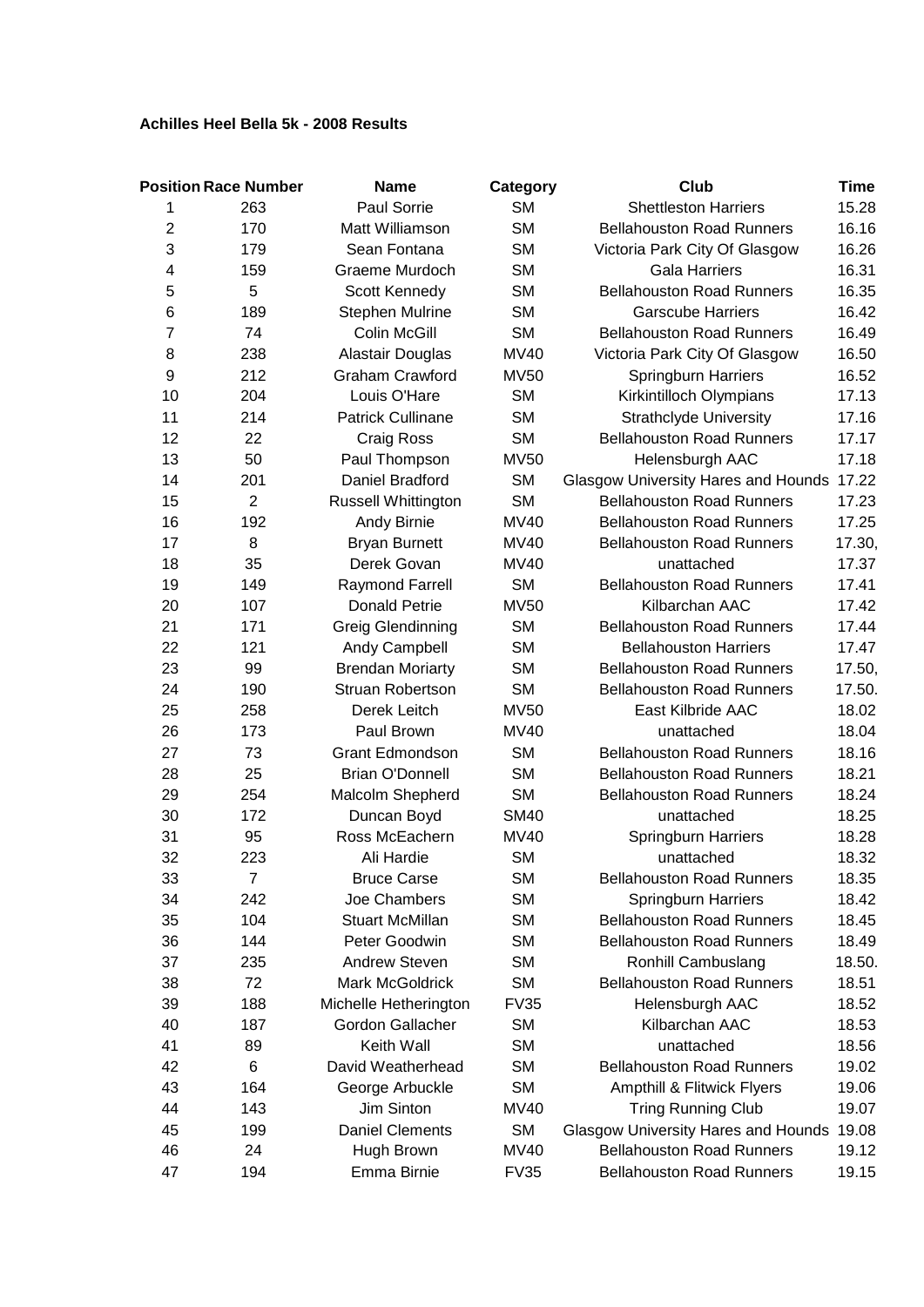## **Achilles Heel Bella 5k - 2008 Results**

|                | <b>Position Race Number</b> | <b>Name</b>              | Category    | Club                                       | Time   |
|----------------|-----------------------------|--------------------------|-------------|--------------------------------------------|--------|
| 1              | 263                         | Paul Sorrie              | <b>SM</b>   | <b>Shettleston Harriers</b>                | 15.28  |
| $\overline{2}$ | 170                         | Matt Williamson          | <b>SM</b>   | <b>Bellahouston Road Runners</b>           | 16.16  |
| 3              | 179                         | Sean Fontana             | <b>SM</b>   | Victoria Park City Of Glasgow              | 16.26  |
| 4              | 159                         | Graeme Murdoch           | <b>SM</b>   | <b>Gala Harriers</b>                       | 16.31  |
| 5              | 5                           | Scott Kennedy            | <b>SM</b>   | <b>Bellahouston Road Runners</b>           | 16.35  |
| 6              | 189                         | <b>Stephen Mulrine</b>   | <b>SM</b>   | <b>Garscube Harriers</b>                   | 16.42  |
| 7              | 74                          | Colin McGill             | <b>SM</b>   | <b>Bellahouston Road Runners</b>           | 16.49  |
| 8              | 238                         | Alastair Douglas         | MV40        | Victoria Park City Of Glasgow              | 16.50  |
| 9              | 212                         | <b>Graham Crawford</b>   | <b>MV50</b> | <b>Springburn Harriers</b>                 | 16.52  |
| 10             | 204                         | Louis O'Hare             | <b>SM</b>   | Kirkintilloch Olympians                    | 17.13  |
| 11             | 214                         | <b>Patrick Cullinane</b> | <b>SM</b>   | <b>Strathclyde University</b>              | 17.16  |
| 12             | 22                          | Craig Ross               | <b>SM</b>   | <b>Bellahouston Road Runners</b>           | 17.17  |
| 13             | 50                          | Paul Thompson            | <b>MV50</b> | Helensburgh AAC                            | 17.18  |
| 14             | 201                         | Daniel Bradford          | <b>SM</b>   | Glasgow University Hares and Hounds 17.22  |        |
| 15             | $\overline{2}$              | Russell Whittington      | <b>SM</b>   | <b>Bellahouston Road Runners</b>           | 17.23  |
| 16             | 192                         | Andy Birnie              | <b>MV40</b> | <b>Bellahouston Road Runners</b>           | 17.25  |
| 17             | 8                           | <b>Bryan Burnett</b>     | <b>MV40</b> | <b>Bellahouston Road Runners</b>           | 17.30, |
| 18             | 35                          | Derek Govan              | <b>MV40</b> | unattached                                 | 17.37  |
| 19             | 149                         | Raymond Farrell          | <b>SM</b>   | <b>Bellahouston Road Runners</b>           | 17.41  |
| 20             | 107                         | <b>Donald Petrie</b>     | <b>MV50</b> | Kilbarchan AAC                             | 17.42  |
| 21             | 171                         | Greig Glendinning        | <b>SM</b>   | <b>Bellahouston Road Runners</b>           | 17.44  |
| 22             | 121                         | Andy Campbell            | <b>SM</b>   | <b>Bellahouston Harriers</b>               | 17.47  |
| 23             | 99                          | <b>Brendan Moriarty</b>  | <b>SM</b>   | <b>Bellahouston Road Runners</b>           | 17.50, |
| 24             | 190                         | <b>Struan Robertson</b>  | <b>SM</b>   | <b>Bellahouston Road Runners</b>           | 17.50. |
| 25             | 258                         | Derek Leitch             | <b>MV50</b> | East Kilbride AAC                          | 18.02  |
| 26             | 173                         | Paul Brown               | <b>MV40</b> | unattached                                 | 18.04  |
| 27             | 73                          | <b>Grant Edmondson</b>   | <b>SM</b>   | <b>Bellahouston Road Runners</b>           | 18.16  |
| 28             | 25                          | <b>Brian O'Donnell</b>   | <b>SM</b>   | <b>Bellahouston Road Runners</b>           | 18.21  |
| 29             | 254                         | Malcolm Shepherd         | <b>SM</b>   | <b>Bellahouston Road Runners</b>           | 18.24  |
| 30             | 172                         | Duncan Boyd              | <b>SM40</b> | unattached                                 | 18.25  |
| 31             | 95                          | Ross McEachern           | <b>MV40</b> | Springburn Harriers                        | 18.28  |
| 32             | 223                         | Ali Hardie               | <b>SM</b>   | unattached                                 | 18.32  |
| 33             | $\overline{7}$              | <b>Bruce Carse</b>       | <b>SM</b>   | <b>Bellahouston Road Runners</b>           | 18.35  |
| 34             | 242                         | Joe Chambers             | <b>SM</b>   | <b>Springburn Harriers</b>                 | 18.42  |
| 35             | 104                         | <b>Stuart McMillan</b>   | <b>SM</b>   | <b>Bellahouston Road Runners</b>           | 18.45  |
| 36             | 144                         | Peter Goodwin            | <b>SM</b>   | <b>Bellahouston Road Runners</b>           | 18.49  |
| 37             | 235                         | <b>Andrew Steven</b>     | <b>SM</b>   | Ronhill Cambuslang                         | 18.50. |
| 38             | 72                          | Mark McGoldrick          | <b>SM</b>   | <b>Bellahouston Road Runners</b>           | 18.51  |
| 39             | 188                         | Michelle Hetherington    | <b>FV35</b> | Helensburgh AAC                            | 18.52  |
| 40             | 187                         | Gordon Gallacher         | <b>SM</b>   | Kilbarchan AAC                             | 18.53  |
| 41             | 89                          | Keith Wall               | <b>SM</b>   | unattached                                 | 18.56  |
| 42             | 6                           | David Weatherhead        | <b>SM</b>   | <b>Bellahouston Road Runners</b>           | 19.02  |
| 43             | 164                         | George Arbuckle          | <b>SM</b>   | Ampthill & Flitwick Flyers                 | 19.06  |
| 44             | 143                         | Jim Sinton               | MV40        | <b>Tring Running Club</b>                  | 19.07  |
| 45             | 199                         | <b>Daniel Clements</b>   | <b>SM</b>   | <b>Glasgow University Hares and Hounds</b> | 19.08  |
| 46             | 24                          | Hugh Brown               | <b>MV40</b> | <b>Bellahouston Road Runners</b>           | 19.12  |
| 47             | 194                         | Emma Birnie              | <b>FV35</b> | <b>Bellahouston Road Runners</b>           | 19.15  |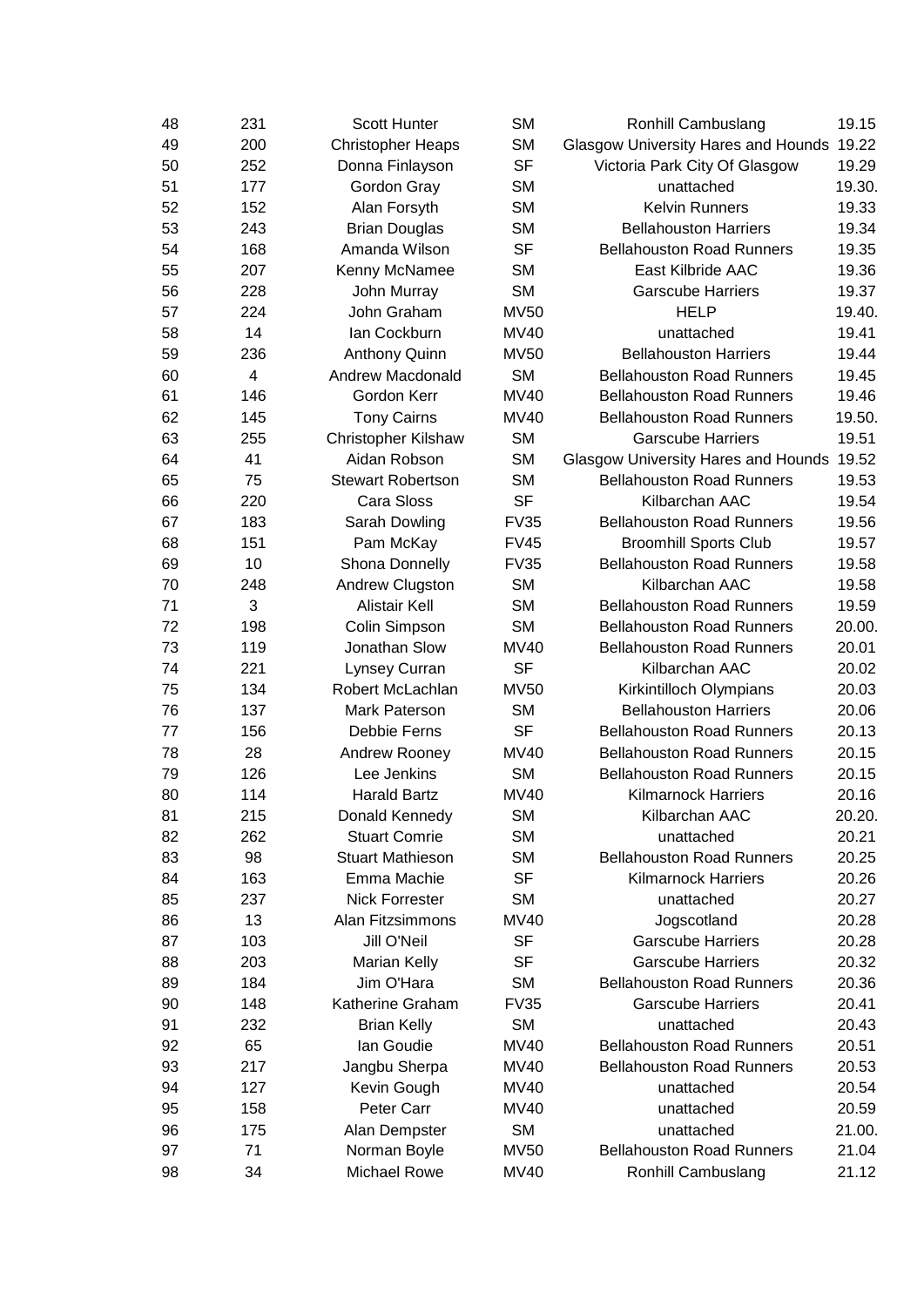| 48 | 231            | <b>Scott Hunter</b>        | <b>SM</b>   | <b>Ronhill Cambuslang</b>                  | 19.15  |
|----|----------------|----------------------------|-------------|--------------------------------------------|--------|
| 49 | 200            | <b>Christopher Heaps</b>   | <b>SM</b>   | <b>Glasgow University Hares and Hounds</b> | 19.22  |
| 50 | 252            | Donna Finlayson            | <b>SF</b>   | Victoria Park City Of Glasgow              | 19.29  |
| 51 | 177            | Gordon Gray                | <b>SM</b>   | unattached                                 | 19.30. |
| 52 | 152            | Alan Forsyth               | <b>SM</b>   | <b>Kelvin Runners</b>                      | 19.33  |
| 53 | 243            | <b>Brian Douglas</b>       | <b>SM</b>   | <b>Bellahouston Harriers</b>               | 19.34  |
| 54 | 168            | Amanda Wilson              | <b>SF</b>   | <b>Bellahouston Road Runners</b>           | 19.35  |
| 55 | 207            | Kenny McNamee              | <b>SM</b>   | East Kilbride AAC                          | 19.36  |
| 56 | 228            | John Murray                | <b>SM</b>   | <b>Garscube Harriers</b>                   | 19.37  |
| 57 | 224            | John Graham                | <b>MV50</b> | <b>HELP</b>                                | 19.40. |
| 58 | 14             | Ian Cockburn               | <b>MV40</b> | unattached                                 | 19.41  |
| 59 | 236            | <b>Anthony Quinn</b>       | <b>MV50</b> | <b>Bellahouston Harriers</b>               | 19.44  |
| 60 | $\overline{4}$ | <b>Andrew Macdonald</b>    | <b>SM</b>   | <b>Bellahouston Road Runners</b>           | 19.45  |
| 61 | 146            | Gordon Kerr                | <b>MV40</b> | <b>Bellahouston Road Runners</b>           | 19.46  |
| 62 | 145            | <b>Tony Cairns</b>         | <b>MV40</b> | <b>Bellahouston Road Runners</b>           | 19.50. |
| 63 | 255            | <b>Christopher Kilshaw</b> | <b>SM</b>   | <b>Garscube Harriers</b>                   | 19.51  |
| 64 | 41             | Aidan Robson               | <b>SM</b>   | <b>Glasgow University Hares and Hounds</b> | 19.52  |
| 65 | 75             | <b>Stewart Robertson</b>   | <b>SM</b>   | <b>Bellahouston Road Runners</b>           | 19.53  |
| 66 | 220            | Cara Sloss                 | <b>SF</b>   | Kilbarchan AAC                             | 19.54  |
| 67 | 183            | Sarah Dowling              | <b>FV35</b> | <b>Bellahouston Road Runners</b>           | 19.56  |
| 68 | 151            | Pam McKay                  | <b>FV45</b> | <b>Broomhill Sports Club</b>               | 19.57  |
| 69 | 10             | Shona Donnelly             | <b>FV35</b> | <b>Bellahouston Road Runners</b>           | 19.58  |
| 70 | 248            | Andrew Clugston            | <b>SM</b>   | Kilbarchan AAC                             | 19.58  |
| 71 | 3              | <b>Alistair Kell</b>       | <b>SM</b>   | <b>Bellahouston Road Runners</b>           | 19.59  |
| 72 | 198            | Colin Simpson              | <b>SM</b>   | <b>Bellahouston Road Runners</b>           | 20.00. |
| 73 | 119            | Jonathan Slow              | <b>MV40</b> | <b>Bellahouston Road Runners</b>           | 20.01  |
| 74 | 221            | Lynsey Curran              | <b>SF</b>   | Kilbarchan AAC                             | 20.02  |
| 75 | 134            | Robert McLachlan           | <b>MV50</b> | Kirkintilloch Olympians                    | 20.03  |
| 76 | 137            | Mark Paterson              | <b>SM</b>   | <b>Bellahouston Harriers</b>               | 20.06  |
| 77 | 156            | Debbie Ferns               | <b>SF</b>   | <b>Bellahouston Road Runners</b>           | 20.13  |
| 78 | 28             | Andrew Rooney              | <b>MV40</b> | <b>Bellahouston Road Runners</b>           | 20.15  |
| 79 | 126            | Lee Jenkins                | <b>SM</b>   | <b>Bellahouston Road Runners</b>           | 20.15  |
| 80 | 114            | <b>Harald Bartz</b>        | <b>MV40</b> | <b>Kilmarnock Harriers</b>                 | 20.16  |
| 81 | 215            | Donald Kennedy             | SМ          | Kilbarchan AAC                             | 20.20. |
| 82 | 262            | <b>Stuart Comrie</b>       | <b>SM</b>   | unattached                                 | 20.21  |
| 83 | 98             | <b>Stuart Mathieson</b>    | <b>SM</b>   | <b>Bellahouston Road Runners</b>           | 20.25  |
| 84 | 163            | Emma Machie                | <b>SF</b>   | <b>Kilmarnock Harriers</b>                 | 20.26  |
| 85 | 237            | <b>Nick Forrester</b>      | <b>SM</b>   | unattached                                 | 20.27  |
| 86 | 13             | Alan Fitzsimmons           | <b>MV40</b> | Jogscotland                                | 20.28  |
| 87 | 103            | Jill O'Neil                | <b>SF</b>   | <b>Garscube Harriers</b>                   | 20.28  |
| 88 | 203            | Marian Kelly               | <b>SF</b>   | <b>Garscube Harriers</b>                   | 20.32  |
| 89 | 184            | Jim O'Hara                 | <b>SM</b>   | <b>Bellahouston Road Runners</b>           | 20.36  |
| 90 | 148            | Katherine Graham           | <b>FV35</b> | <b>Garscube Harriers</b>                   | 20.41  |
| 91 | 232            | <b>Brian Kelly</b>         | <b>SM</b>   | unattached                                 | 20.43  |
| 92 | 65             | Ian Goudie                 | <b>MV40</b> | <b>Bellahouston Road Runners</b>           | 20.51  |
| 93 | 217            | Jangbu Sherpa              | <b>MV40</b> | <b>Bellahouston Road Runners</b>           | 20.53  |
| 94 | 127            | Kevin Gough                | <b>MV40</b> | unattached                                 | 20.54  |
| 95 | 158            | Peter Carr                 | <b>MV40</b> | unattached                                 | 20.59  |
| 96 | 175            | Alan Dempster              | <b>SM</b>   | unattached                                 | 21.00. |
| 97 | 71             | Norman Boyle               | <b>MV50</b> | <b>Bellahouston Road Runners</b>           | 21.04  |
| 98 | 34             | <b>Michael Rowe</b>        | <b>MV40</b> | Ronhill Cambuslang                         | 21.12  |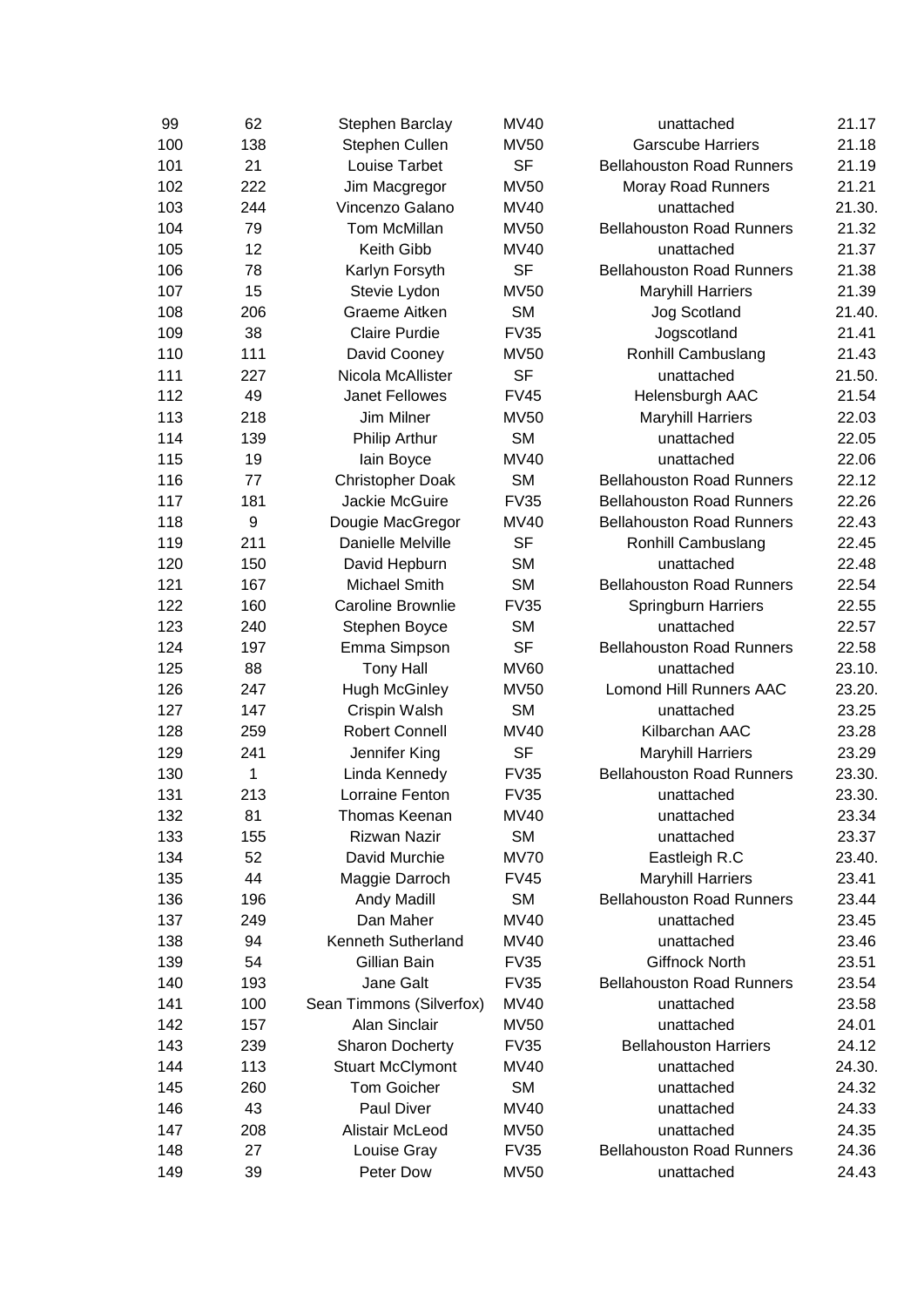|     | 62<br>Stephen Barclay                         | <b>MV40</b>                | unattached                       | 21.17  |
|-----|-----------------------------------------------|----------------------------|----------------------------------|--------|
|     | 138<br>Stephen Cullen                         | <b>MV50</b>                | <b>Garscube Harriers</b>         | 21.18  |
|     | 21<br>Louise Tarbet                           | <b>SF</b>                  | <b>Bellahouston Road Runners</b> | 21.19  |
|     | 222<br>Jim Macgregor                          | <b>MV50</b>                | Moray Road Runners               | 21.21  |
|     | 244<br>Vincenzo Galano                        | MV40                       | unattached                       | 21.30. |
|     | 79<br>Tom McMillan                            | <b>MV50</b>                | <b>Bellahouston Road Runners</b> | 21.32  |
|     | 12<br>Keith Gibb                              | <b>MV40</b>                | unattached                       | 21.37  |
|     | 78<br>Karlyn Forsyth                          | <b>SF</b>                  | <b>Bellahouston Road Runners</b> | 21.38  |
|     | 15<br>Stevie Lydon                            | <b>MV50</b>                | <b>Maryhill Harriers</b>         | 21.39  |
|     | 206<br>Graeme Aitken                          | <b>SM</b>                  | Jog Scotland                     | 21.40. |
|     | 38<br><b>Claire Purdie</b>                    | <b>FV35</b>                | Jogscotland                      | 21.41  |
|     | 111<br>David Cooney                           | <b>MV50</b>                | Ronhill Cambuslang               | 21.43  |
|     | 227<br>Nicola McAllister                      | <b>SF</b>                  | unattached                       | 21.50. |
|     | 49<br><b>Janet Fellowes</b>                   | <b>FV45</b>                | Helensburgh AAC                  | 21.54  |
|     | 218<br>Jim Milner                             | <b>MV50</b>                | <b>Maryhill Harriers</b>         | 22.03  |
|     | 139<br><b>Philip Arthur</b>                   | <b>SM</b>                  | unattached                       | 22.05  |
|     | 19<br>lain Boyce                              | <b>MV40</b>                | unattached                       | 22.06  |
|     | 77<br><b>Christopher Doak</b>                 | <b>SM</b>                  | <b>Bellahouston Road Runners</b> | 22.12  |
|     | 181<br>Jackie McGuire                         | <b>FV35</b>                | <b>Bellahouston Road Runners</b> | 22.26  |
| $9$ | Dougie MacGregor                              | <b>MV40</b>                | <b>Bellahouston Road Runners</b> | 22.43  |
|     | 211<br>Danielle Melville                      | <b>SF</b>                  | Ronhill Cambuslang               | 22.45  |
|     | 150<br>David Hepburn                          | <b>SM</b>                  | unattached                       | 22.48  |
|     | 167<br>Michael Smith                          | <b>SM</b>                  | <b>Bellahouston Road Runners</b> | 22.54  |
|     | 160<br><b>Caroline Brownlie</b>               | <b>FV35</b>                | <b>Springburn Harriers</b>       | 22.55  |
|     | 240<br>Stephen Boyce                          | <b>SM</b>                  | unattached                       | 22.57  |
|     | 197<br>Emma Simpson                           | <b>SF</b>                  | <b>Bellahouston Road Runners</b> | 22.58  |
|     | 88<br><b>Tony Hall</b>                        | <b>MV60</b>                | unattached                       | 23.10. |
|     | 247<br><b>Hugh McGinley</b>                   | <b>MV50</b>                | <b>Lomond Hill Runners AAC</b>   | 23.20. |
|     | 147<br>Crispin Walsh                          | <b>SM</b>                  | unattached                       | 23.25  |
|     | 259<br><b>Robert Connell</b>                  | <b>MV40</b>                | Kilbarchan AAC                   | 23.28  |
|     | 241<br>Jennifer King                          | <b>SF</b>                  | <b>Maryhill Harriers</b>         | 23.29  |
| 1   | Linda Kennedy                                 | <b>FV35</b>                | <b>Bellahouston Road Runners</b> | 23.30. |
|     | 213<br>Lorraine Fenton                        | <b>FV35</b>                | unattached                       | 23.30. |
|     | 81<br>Thomas Keenan                           | <b>MV40</b>                | unattached                       | 23.34  |
|     | 155<br>Rizwan Nazir                           | <b>SM</b>                  | unattached                       | 23.37  |
|     | 52<br>David Murchie                           | <b>MV70</b>                | Eastleigh R.C                    | 23.40. |
|     | 44<br>Maggie Darroch                          | <b>FV45</b>                | <b>Maryhill Harriers</b>         | 23.41  |
|     | 196<br><b>Andy Madill</b>                     | <b>SM</b>                  | <b>Bellahouston Road Runners</b> | 23.44  |
|     | Dan Maher<br>249                              | <b>MV40</b>                | unattached                       | 23.45  |
|     | 94<br>Kenneth Sutherland                      | <b>MV40</b>                | unattached                       | 23.46  |
|     | 54<br>Gillian Bain                            | <b>FV35</b>                | <b>Giffnock North</b>            | 23.51  |
|     | Jane Galt<br>193                              | <b>FV35</b>                | <b>Bellahouston Road Runners</b> | 23.54  |
|     | 100<br>Sean Timmons (Silverfox)               | <b>MV40</b>                | unattached                       | 23.58  |
|     | Alan Sinclair<br>157                          | <b>MV50</b>                | unattached                       | 24.01  |
|     | 239<br><b>Sharon Docherty</b>                 | <b>FV35</b>                | <b>Bellahouston Harriers</b>     | 24.12  |
|     |                                               |                            |                                  | 24.30. |
|     | <b>Tom Goicher</b><br>260                     | <b>SM</b>                  |                                  | 24.32  |
|     | 43<br>Paul Diver                              | <b>MV40</b>                | unattached                       | 24.33  |
|     | 208<br>Alistair McLeod                        | <b>MV50</b>                | unattached                       | 24.35  |
|     | 27                                            |                            | <b>Bellahouston Road Runners</b> | 24.36  |
|     | 39<br>Peter Dow                               | <b>MV50</b>                | unattached                       | 24.43  |
|     | 113<br><b>Stuart McClymont</b><br>Louise Gray | <b>MV40</b><br><b>FV35</b> | unattached<br>unattached         |        |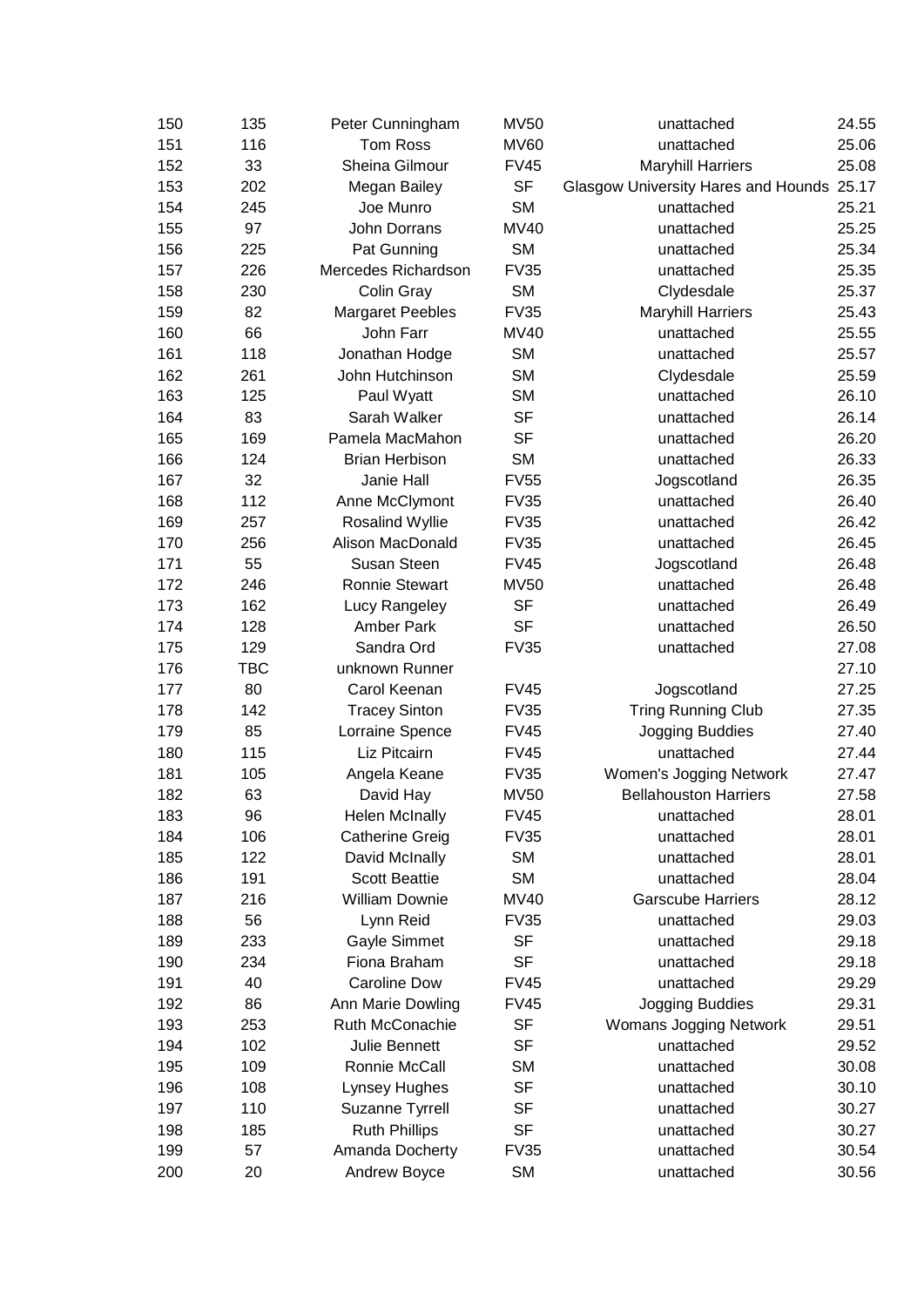| 150 | 135        | Peter Cunningham        | <b>MV50</b> | unattached                                | 24.55 |
|-----|------------|-------------------------|-------------|-------------------------------------------|-------|
| 151 | 116        | <b>Tom Ross</b>         | <b>MV60</b> | unattached                                | 25.06 |
| 152 | 33         | Sheina Gilmour          | <b>FV45</b> | <b>Maryhill Harriers</b>                  | 25.08 |
| 153 | 202        | Megan Bailey            | <b>SF</b>   | Glasgow University Hares and Hounds 25.17 |       |
| 154 | 245        | Joe Munro               | <b>SM</b>   | unattached                                | 25.21 |
| 155 | 97         | John Dorrans            | <b>MV40</b> | unattached                                | 25.25 |
| 156 | 225        | Pat Gunning             | <b>SM</b>   | unattached                                | 25.34 |
| 157 | 226        | Mercedes Richardson     | <b>FV35</b> | unattached                                | 25.35 |
| 158 | 230        | Colin Gray              | <b>SM</b>   | Clydesdale                                | 25.37 |
| 159 | 82         | <b>Margaret Peebles</b> | <b>FV35</b> | <b>Maryhill Harriers</b>                  | 25.43 |
| 160 | 66         | John Farr               | MV40        | unattached                                | 25.55 |
| 161 | 118        | Jonathan Hodge          | <b>SM</b>   | unattached                                | 25.57 |
| 162 | 261        | John Hutchinson         | <b>SM</b>   | Clydesdale                                | 25.59 |
| 163 | 125        | Paul Wyatt              | <b>SM</b>   | unattached                                | 26.10 |
| 164 | 83         | Sarah Walker            | <b>SF</b>   | unattached                                | 26.14 |
| 165 | 169        | Pamela MacMahon         | <b>SF</b>   | unattached                                | 26.20 |
| 166 | 124        | <b>Brian Herbison</b>   | <b>SM</b>   | unattached                                | 26.33 |
| 167 | 32         | Janie Hall              | <b>FV55</b> | Jogscotland                               | 26.35 |
| 168 | 112        | Anne McClymont          | <b>FV35</b> | unattached                                | 26.40 |
| 169 | 257        | Rosalind Wyllie         | <b>FV35</b> | unattached                                | 26.42 |
| 170 | 256        | Alison MacDonald        | <b>FV35</b> | unattached                                | 26.45 |
| 171 | 55         | Susan Steen             | <b>FV45</b> | Jogscotland                               | 26.48 |
| 172 | 246        | <b>Ronnie Stewart</b>   | <b>MV50</b> | unattached                                | 26.48 |
| 173 | 162        | Lucy Rangeley           | <b>SF</b>   | unattached                                | 26.49 |
| 174 | 128        | <b>Amber Park</b>       | <b>SF</b>   | unattached                                | 26.50 |
| 175 | 129        | Sandra Ord              | <b>FV35</b> | unattached                                | 27.08 |
| 176 | <b>TBC</b> | unknown Runner          |             |                                           | 27.10 |
| 177 | 80         | Carol Keenan            | <b>FV45</b> | Jogscotland                               | 27.25 |
| 178 | 142        | <b>Tracey Sinton</b>    | <b>FV35</b> | <b>Tring Running Club</b>                 | 27.35 |
| 179 | 85         | Lorraine Spence         | <b>FV45</b> | Jogging Buddies                           | 27.40 |
| 180 | 115        | Liz Pitcairn            | <b>FV45</b> | unattached                                | 27.44 |
| 181 | 105        | Angela Keane            | <b>FV35</b> | Women's Jogging Network                   | 27.47 |
| 182 | 63         | David Hay               | <b>MV50</b> | <b>Bellahouston Harriers</b>              | 27.58 |
| 183 | 96         | <b>Helen McInally</b>   | <b>FV45</b> | unattached                                | 28.01 |
| 184 | 106        | <b>Catherine Greig</b>  | <b>FV35</b> | unattached                                | 28.01 |
| 185 | 122        | David McInally          | <b>SM</b>   | unattached                                | 28.01 |
| 186 | 191        | <b>Scott Beattie</b>    | <b>SM</b>   | unattached                                | 28.04 |
| 187 | 216        | <b>William Downie</b>   | MV40        | <b>Garscube Harriers</b>                  | 28.12 |
| 188 | 56         | Lynn Reid               | <b>FV35</b> | unattached                                | 29.03 |
| 189 | 233        | Gayle Simmet            | <b>SF</b>   | unattached                                | 29.18 |
| 190 | 234        | Fiona Braham            | <b>SF</b>   | unattached                                | 29.18 |
| 191 | 40         | <b>Caroline Dow</b>     | <b>FV45</b> | unattached                                | 29.29 |
| 192 | 86         | Ann Marie Dowling       | <b>FV45</b> | Jogging Buddies                           | 29.31 |
| 193 | 253        | Ruth McConachie         | <b>SF</b>   | Womans Jogging Network                    | 29.51 |
| 194 | 102        | Julie Bennett           | <b>SF</b>   | unattached                                | 29.52 |
| 195 | 109        | Ronnie McCall           | <b>SM</b>   | unattached                                | 30.08 |
| 196 | 108        | Lynsey Hughes           | <b>SF</b>   | unattached                                | 30.10 |
| 197 | 110        | Suzanne Tyrrell         | <b>SF</b>   | unattached                                | 30.27 |
| 198 | 185        | <b>Ruth Phillips</b>    | <b>SF</b>   | unattached                                | 30.27 |
| 199 | 57         | Amanda Docherty         | <b>FV35</b> | unattached                                | 30.54 |
| 200 | 20         | Andrew Boyce            | <b>SM</b>   | unattached                                | 30.56 |
|     |            |                         |             |                                           |       |